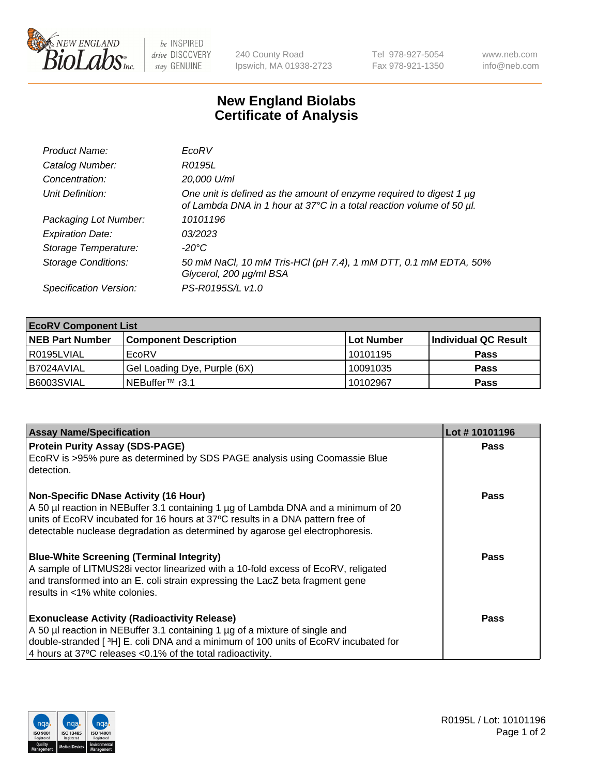

 $be$  INSPIRED drive DISCOVERY stay GENUINE

240 County Road Ipswich, MA 01938-2723 Tel 978-927-5054 Fax 978-921-1350 www.neb.com info@neb.com

## **New England Biolabs Certificate of Analysis**

| Product Name:              | EcoRV                                                                                                                                       |
|----------------------------|---------------------------------------------------------------------------------------------------------------------------------------------|
| Catalog Number:            | R0195L                                                                                                                                      |
| Concentration:             | 20,000 U/ml                                                                                                                                 |
| Unit Definition:           | One unit is defined as the amount of enzyme required to digest 1 µg<br>of Lambda DNA in 1 hour at 37°C in a total reaction volume of 50 µl. |
| Packaging Lot Number:      | 10101196                                                                                                                                    |
| <b>Expiration Date:</b>    | 03/2023                                                                                                                                     |
| Storage Temperature:       | -20°C                                                                                                                                       |
| <b>Storage Conditions:</b> | 50 mM NaCl, 10 mM Tris-HCl (pH 7.4), 1 mM DTT, 0.1 mM EDTA, 50%<br>Glycerol, 200 µg/ml BSA                                                  |
| Specification Version:     | PS-R0195S/L v1.0                                                                                                                            |

| <b>EcoRV Component List</b> |                              |            |                      |  |  |
|-----------------------------|------------------------------|------------|----------------------|--|--|
| <b>NEB Part Number</b>      | <b>Component Description</b> | Lot Number | Individual QC Result |  |  |
| R0195LVIAL                  | EcoRV                        | 10101195   | <b>Pass</b>          |  |  |
| I B7024AVIAL                | Gel Loading Dye, Purple (6X) | 10091035   | <b>Pass</b>          |  |  |
| B6003SVIAL                  | INEBuffer™ r3.1              | 10102967   | <b>Pass</b>          |  |  |

| <b>Assay Name/Specification</b>                                                                                                                                                                                                                                                                       | Lot #10101196 |
|-------------------------------------------------------------------------------------------------------------------------------------------------------------------------------------------------------------------------------------------------------------------------------------------------------|---------------|
| <b>Protein Purity Assay (SDS-PAGE)</b>                                                                                                                                                                                                                                                                | <b>Pass</b>   |
| EcoRV is >95% pure as determined by SDS PAGE analysis using Coomassie Blue<br>detection.                                                                                                                                                                                                              |               |
| <b>Non-Specific DNase Activity (16 Hour)</b><br>A 50 µl reaction in NEBuffer 3.1 containing 1 µg of Lambda DNA and a minimum of 20<br>units of EcoRV incubated for 16 hours at 37°C results in a DNA pattern free of<br>detectable nuclease degradation as determined by agarose gel electrophoresis. | <b>Pass</b>   |
| <b>Blue-White Screening (Terminal Integrity)</b><br>A sample of LITMUS28i vector linearized with a 10-fold excess of EcoRV, religated<br>and transformed into an E. coli strain expressing the LacZ beta fragment gene<br>l results in <1% white colonies.                                            | Pass          |
| <b>Exonuclease Activity (Radioactivity Release)</b><br>A 50 µl reaction in NEBuffer 3.1 containing 1 µg of a mixture of single and<br>double-stranded [3H] E. coli DNA and a minimum of 100 units of EcoRV incubated for<br>4 hours at 37°C releases < 0.1% of the total radioactivity.               | <b>Pass</b>   |